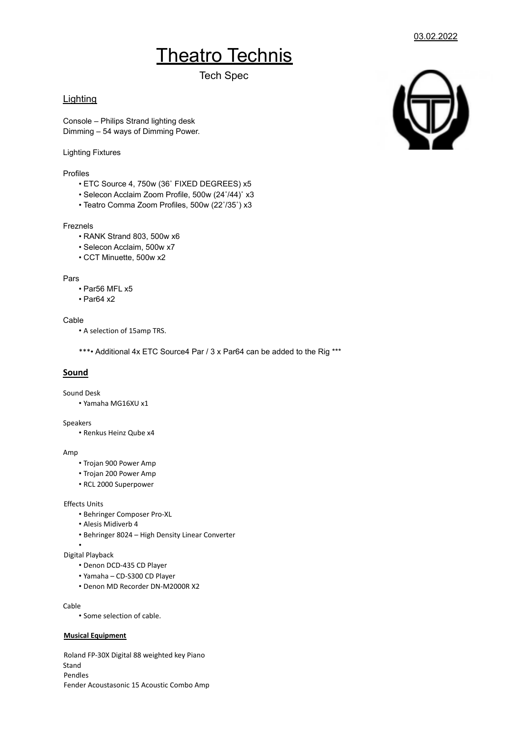# **Theatro Technis**

Tech Spec

# **Lighting**

Console – Philips Strand lighting desk Dimming – 54 ways of Dimming Power.

## Lighting Fixtures

Profiles

- ETC Source 4, 750w (36˚ FIXED DEGREES) x5
- Selecon Acclaim Zoom Profile, 500w (24˚/44)˚ x3
- Teatro Comma Zoom Profiles, 500w (22˚/35˚) x3

## Freznels

- RANK Strand 803, 500w x6
- Selecon Acclaim, 500w x7
- CCT Minuette, 500w x2

#### Pars

- Par56 MFL x5
- Par64 x2

# Cable

• A selection of 15amp TRS.

\*\*\*• Additional 4x ETC Source4 Par / 3 x Par64 can be added to the Rig \*\*\*

# **Sound**

#### Sound Desk

• Yamaha MG16XU x1

#### Speakers

• Renkus Heinz Qube x4

#### Amp

- Trojan 900 Power Amp
- Trojan 200 Power Amp
- RCL 2000 Superpower

## Effects Units

- Behringer Composer Pro-XL
- Alesis Midiverb 4
- Behringer 8024 High Density Linear Converter

### •

# Digital Playback

- Denon DCD-435 CD Player
- Yamaha CD-S300 CD Player
- Denon MD Recorder DN-M2000R X2

#### Cable

• Some selection of cable.

## **Musical Equipment**

Roland FP-30X Digital 88 weighted key Piano Stand Pendles Fender Acoustasonic 15 Acoustic Combo Amp